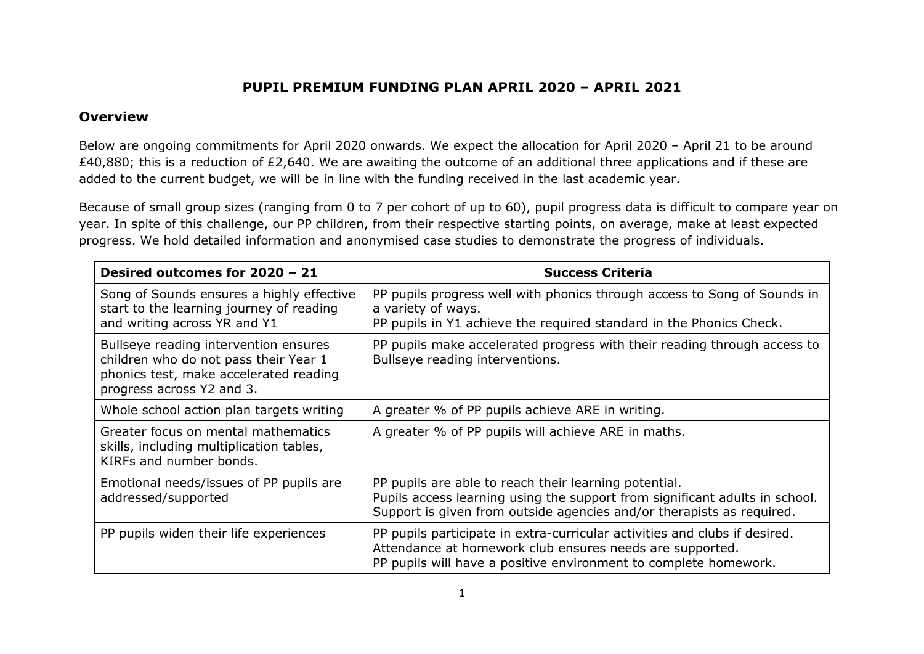# **PUPIL PREMIUM FUNDING PLAN APRIL 2020 – APRIL 2021**

## **Overview**

Below are ongoing commitments for April 2020 onwards. We expect the allocation for April 2020 – April 21 to be around £40,880; this is a reduction of £2,640. We are awaiting the outcome of an additional three applications and if these are added to the current budget, we will be in line with the funding received in the last academic year.

Because of small group sizes (ranging from 0 to 7 per cohort of up to 60), pupil progress data is difficult to compare year on year. In spite of this challenge, our PP children, from their respective starting points, on average, make at least expected progress. We hold detailed information and anonymised case studies to demonstrate the progress of individuals.

| Desired outcomes for 2020 - 21                                                                                                                        | <b>Success Criteria</b>                                                                                                                                                                                       |
|-------------------------------------------------------------------------------------------------------------------------------------------------------|---------------------------------------------------------------------------------------------------------------------------------------------------------------------------------------------------------------|
| Song of Sounds ensures a highly effective<br>start to the learning journey of reading<br>and writing across YR and Y1                                 | PP pupils progress well with phonics through access to Song of Sounds in<br>a variety of ways.<br>PP pupils in Y1 achieve the required standard in the Phonics Check.                                         |
| Bullseye reading intervention ensures<br>children who do not pass their Year 1<br>phonics test, make accelerated reading<br>progress across Y2 and 3. | PP pupils make accelerated progress with their reading through access to<br>Bullseye reading interventions.                                                                                                   |
| Whole school action plan targets writing                                                                                                              | A greater % of PP pupils achieve ARE in writing.                                                                                                                                                              |
| Greater focus on mental mathematics<br>skills, including multiplication tables,<br>KIRFs and number bonds.                                            | A greater % of PP pupils will achieve ARE in maths.                                                                                                                                                           |
| Emotional needs/issues of PP pupils are<br>addressed/supported                                                                                        | PP pupils are able to reach their learning potential.<br>Pupils access learning using the support from significant adults in school.<br>Support is given from outside agencies and/or therapists as required. |
| PP pupils widen their life experiences                                                                                                                | PP pupils participate in extra-curricular activities and clubs if desired.<br>Attendance at homework club ensures needs are supported.<br>PP pupils will have a positive environment to complete homework.    |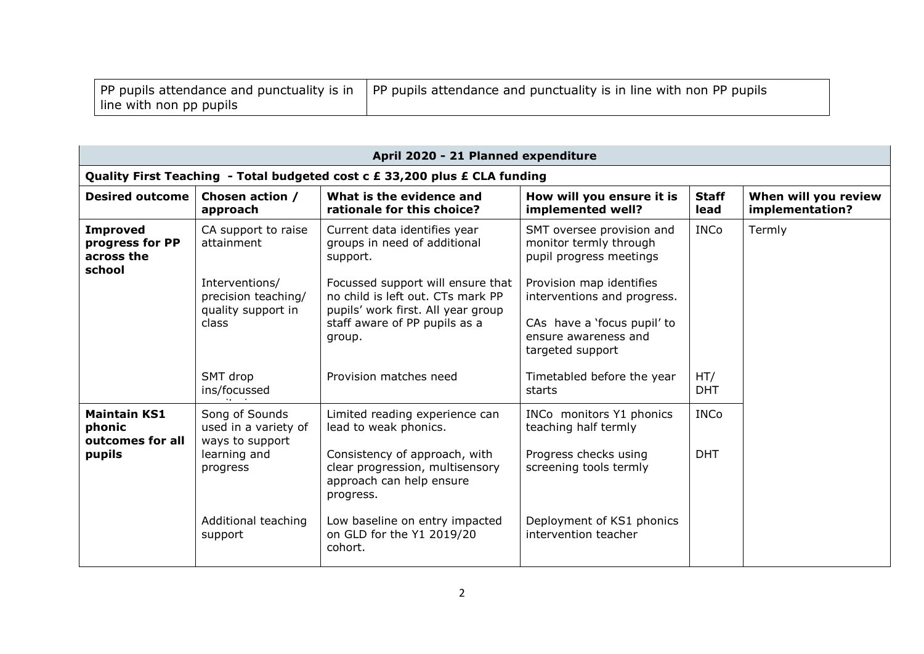|                         | PP pupils attendance and punctuality is in $\parallel$ PP pupils attendance and punctuality is in line with non PP pupils |
|-------------------------|---------------------------------------------------------------------------------------------------------------------------|
| line with non pp pupils |                                                                                                                           |

| April 2020 - 21 Planned expenditure                                            |                                                                                       |                                                                                                                                                                      |                                                                                                                                    |                           |                                         |  |
|--------------------------------------------------------------------------------|---------------------------------------------------------------------------------------|----------------------------------------------------------------------------------------------------------------------------------------------------------------------|------------------------------------------------------------------------------------------------------------------------------------|---------------------------|-----------------------------------------|--|
| Quality First Teaching - Total budgeted cost c $E$ 33,200 plus $E$ CLA funding |                                                                                       |                                                                                                                                                                      |                                                                                                                                    |                           |                                         |  |
| <b>Desired outcome</b>                                                         | Chosen action /<br>approach                                                           | What is the evidence and<br>rationale for this choice?                                                                                                               | How will you ensure it is<br>implemented well?                                                                                     | <b>Staff</b><br>lead      | When will you review<br>implementation? |  |
| <b>Improved</b><br>progress for PP<br>across the<br>school                     | CA support to raise<br>attainment                                                     | Current data identifies year<br>groups in need of additional<br>support.                                                                                             | SMT oversee provision and<br>monitor termly through<br>pupil progress meetings                                                     | <b>INCo</b>               | Termly                                  |  |
|                                                                                | Interventions/<br>precision teaching/<br>quality support in<br>class                  | Focussed support will ensure that<br>no child is left out. CTs mark PP<br>pupils' work first. All year group<br>staff aware of PP pupils as a<br>group.              | Provision map identifies<br>interventions and progress.<br>CAs have a 'focus pupil' to<br>ensure awareness and<br>targeted support |                           |                                         |  |
|                                                                                | SMT drop<br>ins/focussed                                                              | Provision matches need                                                                                                                                               | Timetabled before the year<br>starts                                                                                               | HT/<br><b>DHT</b>         |                                         |  |
| <b>Maintain KS1</b><br>phonic<br>outcomes for all<br>pupils                    | Song of Sounds<br>used in a variety of<br>ways to support<br>learning and<br>progress | Limited reading experience can<br>lead to weak phonics.<br>Consistency of approach, with<br>clear progression, multisensory<br>approach can help ensure<br>progress. | INCo monitors Y1 phonics<br>teaching half termly<br>Progress checks using<br>screening tools termly                                | <b>INCo</b><br><b>DHT</b> |                                         |  |
|                                                                                | Additional teaching<br>support                                                        | Low baseline on entry impacted<br>on GLD for the Y1 2019/20<br>cohort.                                                                                               | Deployment of KS1 phonics<br>intervention teacher                                                                                  |                           |                                         |  |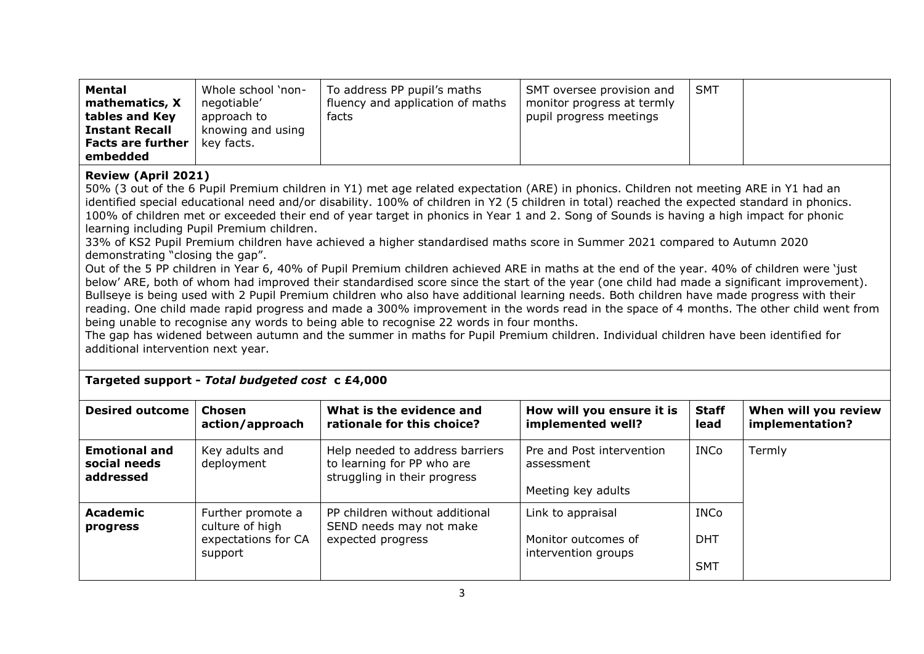| Mental<br>mathematics, X<br>tables and Key<br><b>Instant Recall</b><br><b>Facts are further</b><br>embedded | Whole school 'non-<br>negotiable'<br>approach to<br>knowing and using<br>key facts. | To address PP pupil's maths<br>fluency and application of maths<br>facts | SMT oversee provision and<br>monitor progress at termly<br>pupil progress meetings | <b>SMT</b> |  |
|-------------------------------------------------------------------------------------------------------------|-------------------------------------------------------------------------------------|--------------------------------------------------------------------------|------------------------------------------------------------------------------------|------------|--|
|-------------------------------------------------------------------------------------------------------------|-------------------------------------------------------------------------------------|--------------------------------------------------------------------------|------------------------------------------------------------------------------------|------------|--|

## **Review (April 2021)**

50% (3 out of the 6 Pupil Premium children in Y1) met age related expectation (ARE) in phonics. Children not meeting ARE in Y1 had an identified special educational need and/or disability. 100% of children in Y2 (5 children in total) reached the expected standard in phonics. 100% of children met or exceeded their end of year target in phonics in Year 1 and 2. Song of Sounds is having a high impact for phonic learning including Pupil Premium children.

33% of KS2 Pupil Premium children have achieved a higher standardised maths score in Summer 2021 compared to Autumn 2020 demonstrating "closing the gap".

Out of the 5 PP children in Year 6, 40% of Pupil Premium children achieved ARE in maths at the end of the year. 40% of children were 'just below' ARE, both of whom had improved their standardised score since the start of the year (one child had made a significant improvement). Bullseye is being used with 2 Pupil Premium children who also have additional learning needs. Both children have made progress with their reading. One child made rapid progress and made a 300% improvement in the words read in the space of 4 months. The other child went from being unable to recognise any words to being able to recognise 22 words in four months.

The gap has widened between autumn and the summer in maths for Pupil Premium children. Individual children have been identified for additional intervention next year.

| <b>Desired outcome</b>                            | Chosen<br>action/approach                                              | What is the evidence and<br>rationale for this choice?                                        | How will you ensure it is<br>implemented well?                  | <b>Staff</b><br>lead                    | When will you review<br>implementation? |
|---------------------------------------------------|------------------------------------------------------------------------|-----------------------------------------------------------------------------------------------|-----------------------------------------------------------------|-----------------------------------------|-----------------------------------------|
| <b>Emotional and</b><br>social needs<br>addressed | Key adults and<br>deployment                                           | Help needed to address barriers<br>to learning for PP who are<br>struggling in their progress | Pre and Post intervention<br>assessment<br>Meeting key adults   | <b>INCo</b>                             | Termly                                  |
| <b>Academic</b><br>progress                       | Further promote a<br>culture of high<br>expectations for CA<br>support | PP children without additional<br>SEND needs may not make<br>expected progress                | Link to appraisal<br>Monitor outcomes of<br>intervention groups | <b>INCo</b><br><b>DHT</b><br><b>SMT</b> |                                         |

### **Targeted support -** *Total budgeted cost* **c £4,000**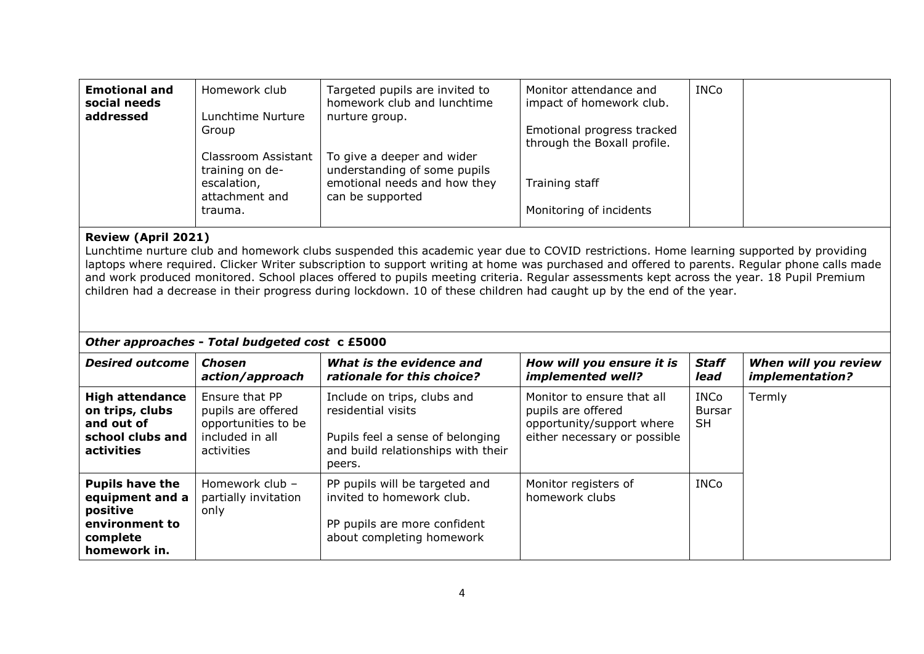| <b>Emotional and</b><br>social needs<br>addressed | Homework club<br>Lunchtime Nurture<br>Group | Targeted pupils are invited to<br>homework club and lunchtime<br>nurture group. | Monitor attendance and<br>impact of homework club.<br>Emotional progress tracked | <b>INCo</b> |  |
|---------------------------------------------------|---------------------------------------------|---------------------------------------------------------------------------------|----------------------------------------------------------------------------------|-------------|--|
|                                                   |                                             |                                                                                 | through the Boxall profile.                                                      |             |  |
|                                                   |                                             |                                                                                 |                                                                                  |             |  |
|                                                   | Classroom Assistant<br>training on de-      | To give a deeper and wider<br>understanding of some pupils                      |                                                                                  |             |  |
|                                                   | escalation,<br>attachment and               | emotional needs and how they<br>can be supported                                | Training staff                                                                   |             |  |
|                                                   | trauma.                                     |                                                                                 | Monitoring of incidents                                                          |             |  |

#### **Review (April 2021)**

Lunchtime nurture club and homework clubs suspended this academic year due to COVID restrictions. Home learning supported by providing laptops where required. Clicker Writer subscription to support writing at home was purchased and offered to parents. Regular phone calls made and work produced monitored. School places offered to pupils meeting criteria. Regular assessments kept across the year. 18 Pupil Premium children had a decrease in their progress during lockdown. 10 of these children had caught up by the end of the year.

| Other approaches - Total budgeted cost c £5000                                                      |                                                                                              |                                                                                                                                       |                                                                                                               |                                           |                                         |
|-----------------------------------------------------------------------------------------------------|----------------------------------------------------------------------------------------------|---------------------------------------------------------------------------------------------------------------------------------------|---------------------------------------------------------------------------------------------------------------|-------------------------------------------|-----------------------------------------|
| <b>Desired outcome</b>                                                                              | Chosen<br>action/approach                                                                    | What is the evidence and<br>rationale for this choice?                                                                                | How will you ensure it is<br>implemented well?                                                                | <b>Staff</b><br>lead                      | When will you review<br>implementation? |
| <b>High attendance</b><br>on trips, clubs<br>and out of<br>school clubs and<br>activities           | Ensure that PP<br>pupils are offered<br>opportunities to be<br>included in all<br>activities | Include on trips, clubs and<br>residential visits<br>Pupils feel a sense of belonging<br>and build relationships with their<br>peers. | Monitor to ensure that all<br>pupils are offered<br>opportunity/support where<br>either necessary or possible | <b>INCo</b><br><b>Bursar</b><br><b>SH</b> | Termly                                  |
| <b>Pupils have the</b><br>equipment and a<br>positive<br>environment to<br>complete<br>homework in. | Homework club -<br>partially invitation<br>only                                              | PP pupils will be targeted and<br>invited to homework club.<br>PP pupils are more confident<br>about completing homework              | Monitor registers of<br>homework clubs                                                                        | <b>INCo</b>                               |                                         |